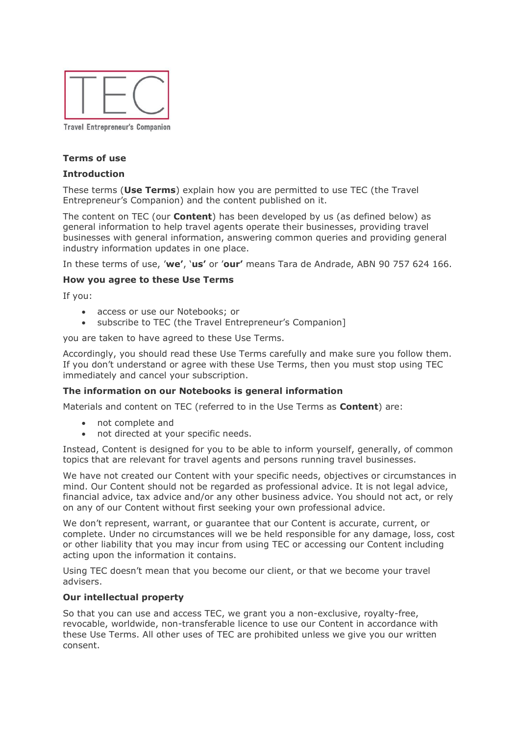

# **Terms of use**

#### **Introduction**

These terms (**Use Terms**) explain how you are permitted to use TEC (the Travel Entrepreneur's Companion) and the content published on it.

The content on TEC (our **Content**) has been developed by us (as defined below) as general information to help travel agents operate their businesses, providing travel businesses with general information, answering common queries and providing general industry information updates in one place.

In these terms of use, '**we'**, '**us'** or '**our'** means Tara de Andrade, ABN 90 757 624 166.

#### **How you agree to these Use Terms**

If you:

- access or use our Notebooks; or
- subscribe to TEC (the Travel Entrepreneur's Companion]

you are taken to have agreed to these Use Terms.

Accordingly, you should read these Use Terms carefully and make sure you follow them. If you don't understand or agree with these Use Terms, then you must stop using TEC immediately and cancel your subscription.

## **The information on our Notebooks is general information**

Materials and content on TEC (referred to in the Use Terms as **Content**) are:

- not complete and
- not directed at your specific needs.

Instead, Content is designed for you to be able to inform yourself, generally, of common topics that are relevant for travel agents and persons running travel businesses.

We have not created our Content with your specific needs, objectives or circumstances in mind. Our Content should not be regarded as professional advice. It is not legal advice, financial advice, tax advice and/or any other business advice. You should not act, or rely on any of our Content without first seeking your own professional advice.

We don't represent, warrant, or guarantee that our Content is accurate, current, or complete. Under no circumstances will we be held responsible for any damage, loss, cost or other liability that you may incur from using TEC or accessing our Content including acting upon the information it contains.

Using TEC doesn't mean that you become our client, or that we become your travel advisers.

#### **Our intellectual property**

So that you can use and access TEC, we grant you a non-exclusive, royalty-free, revocable, worldwide, non-transferable licence to use our Content in accordance with these Use Terms. All other uses of TEC are prohibited unless we give you our written consent.